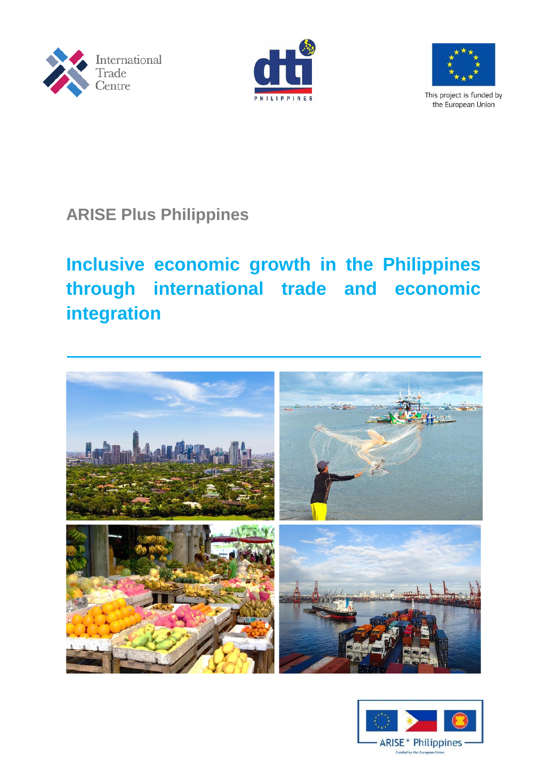





This project is funded by the European Union

# **ARISE Plus Philippines**

# **Inclusive economic growth in the Philippines through international trade and economic integration**



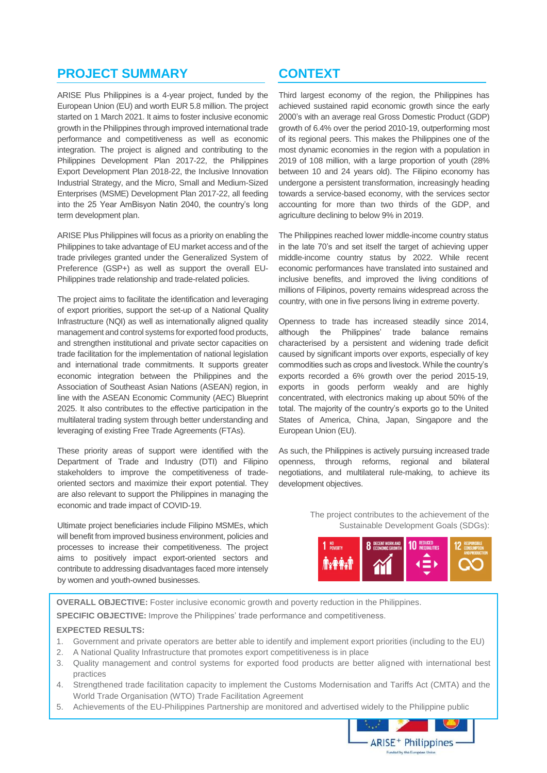## **PROJECT SUMMARY**

ARISE Plus Philippines is a 4-year project, funded by the European Union (EU) and worth EUR 5.8 million. The project started on 1 March 2021. It aims to foster inclusive economic growth in the Philippines through improved international trade performance and competitiveness as well as economic integration. The project is aligned and contributing to the Philippines Development Plan 2017-22, the Philippines Export Development Plan 2018-22, the Inclusive Innovation Industrial Strategy, and the Micro, Small and Medium-Sized Enterprises (MSME) Development Plan 2017-22, all feeding into the 25 Year AmBisyon Natin 2040, the country's long term development plan.

ARISE Plus Philippines will focus as a priority on enabling the Philippines to take advantage of EU market access and of the trade privileges granted under the Generalized System of Preference (GSP+) as well as support the overall EU-Philippines trade relationship and trade-related policies.

The project aims to facilitate the identification and leveraging of export priorities, support the set-up of a National Quality Infrastructure (NQI) as well as internationally aligned quality management and control systems for exported food products, and strengthen institutional and private sector capacities on trade facilitation for the implementation of national legislation and international trade commitments. It supports greater economic integration between the Philippines and the Association of Southeast Asian Nations (ASEAN) region, in line with the ASEAN Economic Community (AEC) Blueprint 2025. It also contributes to the effective participation in the multilateral trading system through better understanding and leveraging of existing Free Trade Agreements (FTAs).

These priority areas of support were identified with the Department of Trade and Industry (DTI) and Filipino stakeholders to improve the competitiveness of tradeoriented sectors and maximize their export potential. They are also relevant to support the Philippines in managing the economic and trade impact of COVID-19.

Ultimate project beneficiaries include Filipino MSMEs, which will benefit from improved business environment, policies and processes to increase their competitiveness. The project aims to positively impact export-oriented sectors and contribute to addressing disadvantages faced more intensely by women and youth-owned businesses.

## **CONTEXT**

Third largest economy of the region, the Philippines has achieved sustained rapid economic growth since the early 2000's with an average real Gross Domestic Product (GDP) growth of 6.4% over the period 2010-19, outperforming most of its regional peers. This makes the Philippines one of the most dynamic economies in the region with a population in 2019 of 108 million, with a large proportion of youth (28% between 10 and 24 years old). The Filipino economy has undergone a persistent transformation, increasingly heading towards a service-based economy, with the services sector accounting for more than two thirds of the GDP, and agriculture declining to below 9% in 2019.

The Philippines reached lower middle-income country status in the late 70's and set itself the target of achieving upper middle-income country status by 2022. While recent economic performances have translated into sustained and inclusive benefits, and improved the living conditions of millions of Filipinos, poverty remains widespread across the country, with one in five persons living in extreme poverty.

Openness to trade has increased steadily since 2014, although the Philippines' trade balance remains characterised by a persistent and widening trade deficit caused by significant imports over exports, especially of key commodities such as crops and livestock. While the country's exports recorded a 6% growth over the period 2015-19, exports in goods perform weakly and are highly concentrated, with electronics making up about 50% of the total. The majority of the country's exports go to the United States of America, China, Japan, Singapore and the European Union (EU).

As such, the Philippines is actively pursuing increased trade openness, through reforms, regional and bilateral negotiations, and multilateral rule-making, to achieve its development objectives.

> The project contributes to the achievement of the Sustainable Development Goals (SDGs):



**OVERALL OBJECTIVE:** Foster inclusive economic growth and poverty reduction in the Philippines.

**SPECIFIC OBJECTIVE:** Improve the Philippines' trade performance and competitiveness.

#### **EXPECTED RESULTS:**

- 1. Government and private operators are better able to identify and implement export priorities (including to the EU)
- 2. A National Quality Infrastructure that promotes export competitiveness is in place
- 3. Quality management and control systems for exported food products are better aligned with international best practices
- 4. Strengthened trade facilitation capacity to implement the Customs Modernisation and Tariffs Act (CMTA) and the World Trade Organisation (WTO) Trade Facilitation Agreement
- 5. Achievements of the EU-Philippines Partnership are monitored and advertised widely to the Philippine public

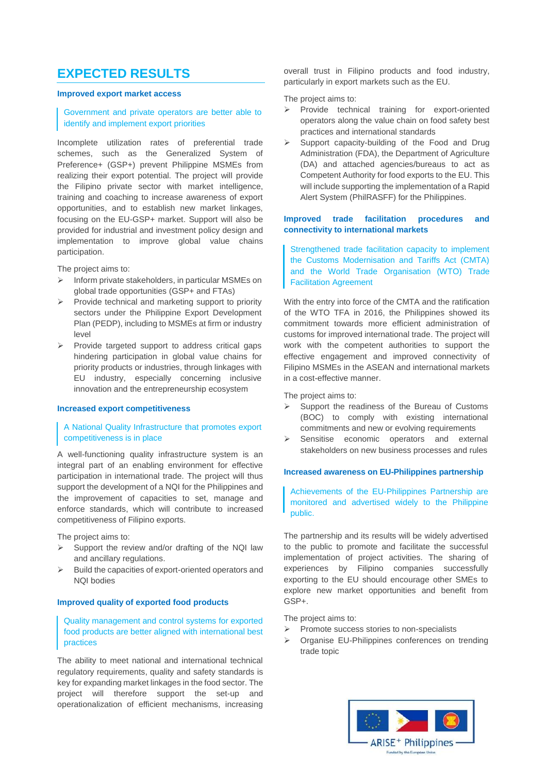## **EXPECTED RESULTS**

#### **Improved export market access**

#### Government and private operators are better able to identify and implement export priorities

Incomplete utilization rates of preferential trade schemes, such as the Generalized System of Preference+ (GSP+) prevent Philippine MSMEs from realizing their export potential. The project will provide the Filipino private sector with market intelligence, training and coaching to increase awareness of export opportunities, and to establish new market linkages, focusing on the EU-GSP+ market. Support will also be provided for industrial and investment policy design and implementation to improve global value chains participation.

The project aims to:

- $\triangleright$  Inform private stakeholders, in particular MSMEs on global trade opportunities (GSP+ and FTAs)
- $\triangleright$  Provide technical and marketing support to priority sectors under the Philippine Export Development Plan (PEDP), including to MSMEs at firm or industry level
- Provide targeted support to address critical gaps hindering participation in global value chains for priority products or industries, through linkages with EU industry, especially concerning inclusive innovation and the entrepreneurship ecosystem

#### **Increased export competitiveness**

#### A National Quality Infrastructure that promotes export competitiveness is in place

A well-functioning quality infrastructure system is an integral part of an enabling environment for effective participation in international trade. The project will thus support the development of a NQI for the Philippines and the improvement of capacities to set, manage and enforce standards, which will contribute to increased competitiveness of Filipino exports.

The project aims to:

- $\triangleright$  Support the review and/or drafting of the NQI law and ancillary regulations.
- Build the capacities of export-oriented operators and NQI bodies

#### **Improved quality of exported food products**

#### Quality management and control systems for exported food products are better aligned with international best practices

The ability to meet national and international technical regulatory requirements, quality and safety standards is key for expanding market linkages in the food sector. The project will therefore support the set-up and operationalization of efficient mechanisms, increasing

overall trust in Filipino products and food industry, particularly in export markets such as the EU.

The project aims to:

- $\triangleright$  Provide technical training for export-oriented operators along the value chain on food safety best practices and international standards
- Support capacity-building of the Food and Drug Administration (FDA), the Department of Agriculture (DA) and attached agencies/bureaus to act as Competent Authority for food exports to the EU. This will include supporting the implementation of a Rapid Alert System (PhilRASFF) for the Philippines.

#### **Improved trade facilitation procedures and connectivity to international markets**

Strengthened trade facilitation capacity to implement the Customs Modernisation and Tariffs Act (CMTA) and the World Trade Organisation (WTO) Trade Facilitation Agreement

With the entry into force of the CMTA and the ratification of the WTO TFA in 2016, the Philippines showed its commitment towards more efficient administration of customs for improved international trade. The project will work with the competent authorities to support the effective engagement and improved connectivity of Filipino MSMEs in the ASEAN and international markets in a cost-effective manner.

The project aims to:

- $\triangleright$  Support the readiness of the Bureau of Customs (BOC) to comply with existing international commitments and new or evolving requirements
- $\triangleright$  Sensitise economic operators and external stakeholders on new business processes and rules

#### **Increased awareness on EU-Philippines partnership**

#### Achievements of the EU-Philippines Partnership are monitored and advertised widely to the Philippine public.

The partnership and its results will be widely advertised to the public to promote and facilitate the successful implementation of project activities. The sharing of experiences by Filipino companies successfully exporting to the EU should encourage other SMEs to explore new market opportunities and benefit from GSP+.

The project aims to:

- $\triangleright$  Promote success stories to non-specialists
- Organise EU-Philippines conferences on trending trade topic